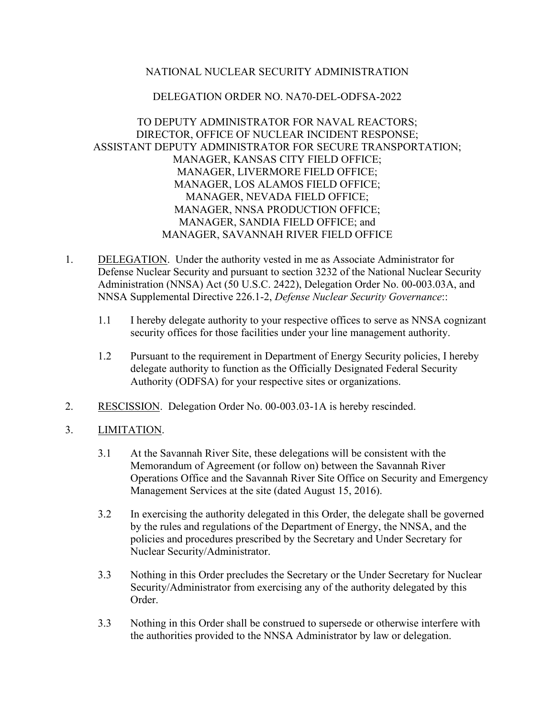# NATIONAL NUCLEAR SECURITY ADMINISTRATION

#### DELEGATION ORDER NO. NA70-DEL-ODFSA-2022

# TO DEPUTY ADMINISTRATOR FOR NAVAL REACTORS; DIRECTOR, OFFICE OF NUCLEAR INCIDENT RESPONSE; ASSISTANT DEPUTY ADMINISTRATOR FOR SECURE TRANSPORTATION; MANAGER, KANSAS CITY FIELD OFFICE; MANAGER, LIVERMORE FIELD OFFICE; MANAGER, LOS ALAMOS FIELD OFFICE; MANAGER, NEVADA FIELD OFFICE; MANAGER, NNSA PRODUCTION OFFICE; MANAGER, SANDIA FIELD OFFICE; and MANAGER, SAVANNAH RIVER FIELD OFFICE

- 1. DELEGATION. Under the authority vested in me as Associate Administrator for Defense Nuclear Security and pursuant to section 3232 of the National Nuclear Security Administration (NNSA) Act (50 U.S.C. 2422), Delegation Order No. 00-003.03A, and NNSA Supplemental Directive 226.1-2, *Defense Nuclear Security Governance*::
	- 1.1 I hereby delegate authority to your respective offices to serve as NNSA cognizant security offices for those facilities under your line management authority.
	- 1.2 Pursuant to the requirement in Department of Energy Security policies, I hereby delegate authority to function as the Officially Designated Federal Security Authority (ODFSA) for your respective sites or organizations.
- 2. RESCISSION. Delegation Order No. 00-003.03-1A is hereby rescinded.
- 3. LIMITATION.
	- 3.1 At the Savannah River Site, these delegations will be consistent with the Memorandum of Agreement (or follow on) between the Savannah River Operations Office and the Savannah River Site Office on Security and Emergency Management Services at the site (dated August 15, 2016).
	- 3.2 In exercising the authority delegated in this Order, the delegate shall be governed by the rules and regulations of the Department of Energy, the NNSA, and the policies and procedures prescribed by the Secretary and Under Secretary for Nuclear Security/Administrator.
	- 3.3 Nothing in this Order precludes the Secretary or the Under Secretary for Nuclear Security/Administrator from exercising any of the authority delegated by this Order.
	- 3.3 Nothing in this Order shall be construed to supersede or otherwise interfere with the authorities provided to the NNSA Administrator by law or delegation.